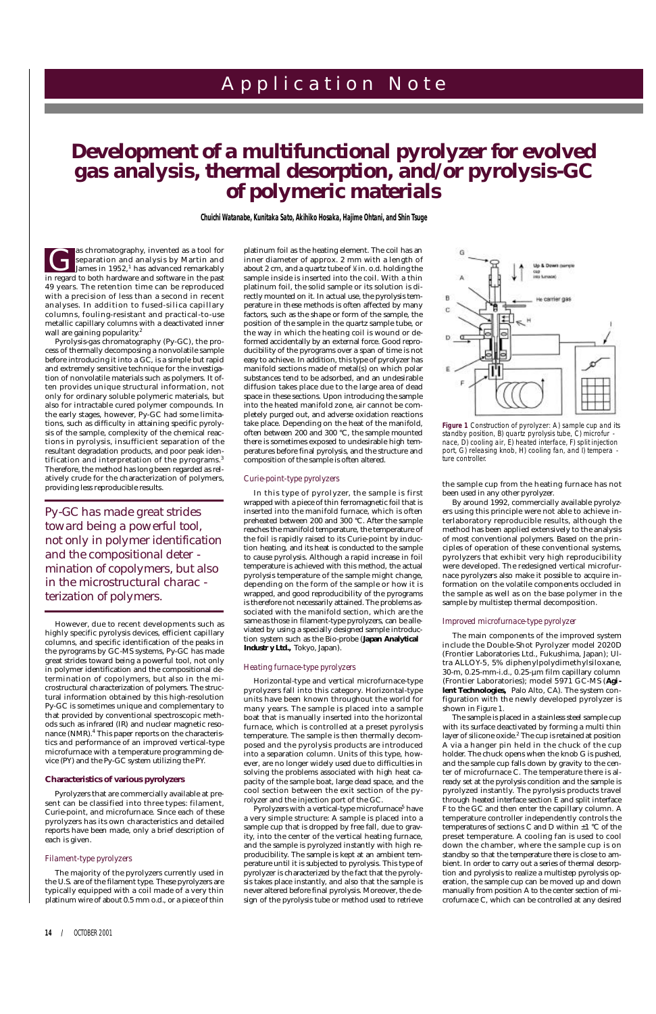Pyrolysis-gas chromatography (Py-GC), the process of thermally decomposing a nonvolatile sample before introducing it into a GC, is a simple but rapid and extremely sensitive technique for the investigation of nonvolatile materials such as polymers. It often provides unique structural information, not only for ordinary soluble polymeric materials, but also for intractable cured polymer compounds. In the early stages, however, Py-GC had some limitations, such as difficulty in attaining specific pyrolysis of the sample, complexity of the chemical reactions in pyrolysis, insufficient separation of the resultant degradation products, and poor peak identification and interpretation of the pyrograms.<sup>3</sup> Therefore, the method has long been regarded as relatively crude for the characterization of polymers, providing less reproducible results.

However, due to recent developments such as highly specific pyrolysis devices, efficient capillary columns, and specific identification of the peaks in the pyrograms by GC-MS systems, Py-GC has made great strides toward being a powerful tool, not only in polymer identification and the compositional determination of copolymers, but also in the microstructural characterization of polymers. The structural information obtained by this high-resolution Py-GC is sometimes unique and complementary to that provided by conventional spectroscopic methods such as infrared (IR) and nuclear magnetic resonance (NMR).<sup>4</sup> This paper reports on the characteristics and performance of an improved vertical-type microfurnace with a temperature programming device (PY) and the Py-GC system utilizing the PY.

In this type of pyrolyzer, the sample is first wrapped with a piece of thin ferromagnetic foil that is inserted into the manifold furnace, which is often preheated between 200 and 300 °C. After the sample reaches the manifold temperature, the temperature of the foil is rapidly raised to its Curie-point by induction heating, and its heat is conducted to the sample to cause pyrolysis. Although a rapid increase in foil temperature is achieved with this method, the actual pyrolysis temperature of the sample might change, depending on the form of the sample or how it is wrapped, and good reproducibility of the pyrograms is therefore not necessarily attained. The problems associated with the manifold section, which are the same as those in filament-type pyrolyzers, can be alleviated by using a specially designed sample introduction system such as the Bio-probe (**Japan Analytical** Industr y Ltd., Tokyo, Japan).

# **Characteristics of various pyrolyzers**

Pyrolyzers that are commercially available at present can be classified into three types: filament, Curie-point, and microfurnace. Since each of these pyrolyzers has its own characteristics and detailed reports have been made, only a brief description of each is given.

# *Filament-type pyrolyzers*

The majority of the pyrolyzers currently used in the U.S. are of the filament type. These pyrolyzers are typically equipped with a coil made of a very thin platinum wire of about 0.5 mm o.d., or a piece of thin

# **14 /** OCTOBER 2001

# A p p l i c a t i o n N o t e

# *Development of a multifunctional pyrolyzer for evolved gas analysis, thermal desorption, and/or pyrolysis-GC of polymeric materials*

**Chuichi Watanabe, Kunitaka Sato, Akihiko Hosaka, Hajime Ohtani, and Shin Tsuge**

as chromatography, invented as a tool for separation and analysis by Martin and James in 1952,<sup>1</sup> has advanced remarkably as chromatography, invented as a tool for<br>separation and analysis by Martin and<br>James in 1952,<sup>1</sup> has advanced remarkably<br>in regard to both hardware and software in the past 49 years. The retention time can be reproduced with a precision of less than a second in recent analyses. In addition to fused-silica capillary columns, fouling-resistant and practical-to-use metallic capillary columns with a deactivated inner wall are gaining popularity. $^{\rm 2}$ 

platinum foil as the heating element. The coil has an inner diameter of approx. 2 mm with a length of about 2 cm, and a quartz tube of <sup>1</sup> <sup>8</sup>⁄ in. o.d. holding the sample inside is inserted into the coil. With a thin platinum foil, the solid sample or its solution is directly mounted on it. In actual use, the pyrolysis temperature in these methods is often affected by many factors, such as the shape or form of the sample, the position of the sample in the quartz sample tube, or the way in which the heating coil is wound or deformed accidentally by an external force. Good reproducibility of the pyrograms over a span of time is not easy to achieve. In addition, this type of pyrolyzer has manifold sections made of metal(s) on which polar substances tend to be adsorbed, and an undesirable diffusion takes place due to the large area of dead space in these sections. Upon introducing the sample into the heated manifold zone, air cannot be completely purged out, and adverse oxidation reactions take place. Depending on the heat of the manifold, often between 200 and 300 °C, the sample mounted there is sometimes exposed to undesirable high temperatures before final pyrolysis, and the structure and composition of the sample is often altered.

### *Curie-point-type pyrolyzers*

### *Heating furnace-type pyrolyzers*

Horizontal-type and vertical microfurnace-type pyrolyzers fall into this category. Horizontal-type units have been known throughout the world for many years. The sample is placed into a sample boat that is manually inserted into the horizontal furnace, which is controlled at a preset pyrolysis temperature. The sample is then thermally decomposed and the pyrolysis products are introduced into a separation column. Units of this type, however, are no longer widely used due to difficulties in solving the problems associated with high heat capacity of the sample boat, large dead space, and the cool section between the exit section of the pyrolyzer and the injection port of the GC. Pyrolyzers with a vertical-type microfurnace<sup>5</sup> have a very simple structure: A sample is placed into a sample cup that is dropped by free fall, due to gravity, into the center of the vertical heating furnace, and the sample is pyrolyzed instantly with high reproducibility. The sample is kept at an ambient temperature until it is subjected to pyrolysis. This type of pyrolyzer is characterized by the fact that the pyrolysis takes place instantly, and also that the sample is never altered before final pyrolysis. Moreover, the design of the pyrolysis tube or method used to retrieve

the sample cup from the heating furnace has not been used in any other pyrolyzer.

By around 1992, commercially available pyrolyzers using this principle were not able to achieve interlaboratory reproducible results, although the method has been applied extensively to the analysis of most conventional polymers. Based on the principles of operation of these conventional systems, pyrolyzers that exhibit very high reproducibility were developed. The redesigned vertical microfurnace pyrolyzers also make it possible to acquire information on the volatile components occluded in the sample as well as on the base polymer in the sample by multistep thermal decomposition.

### *Improved microfurnace-type pyrolyzer*

The main components of the improved system include the Double-Shot Pyrolyzer model 2020D (Frontier Laboratories Ltd., Fukushima, Japan); Ultra ALLOY-5, 5% diphenylpolydimethylsiloxane, 30-m, 0.25-mm-i.d., 0.25-µm film capillary column (Frontier Laboratories); model 5971 GC-MS (Agi**lent Technologies,** Palo Alto, CA). The system configuration with the newly developed pyrolyzer is shown in *Figure 1.*

The sample is placed in a stainless steel sample cup with its surface deactivated by forming a multi thin layer of silicone oxide.<sup>2</sup> The cup is retained at position A via a hanger pin held in the chuck of the cup holder. The chuck opens when the knob G is pushed, and the sample cup falls down by gravity to the center of microfurnace C. The temperature there is already set at the pyrolysis condition and the sample is pyrolyzed instantly. The pyrolysis products travel through heated interface section E and split interface F to the GC and then enter the capillary column. A temperature controller independently controls the temperatures of sections C and D within  $\pm 1$  °C of the preset temperature. A cooling fan is used to cool down the chamber, where the sample cup is on standby so that the temperature there is close to ambient. In order to carry out a series of thermal desorption and pyrolysis to realize a multistep pyrolysis operation, the sample cup can be moved up and down manually from position A to the center section of microfurnace C, which can be controlled at any desired

*Py-GC has made great strides toward being a powerful tool, not only in polymer identification and the compositional deter mination of copolymers, but also in the microstructural charac terization of polymers.*



**Figure 1** *Construction of pyrolyzer: A) sample cup and its standby position, B) quartz pyrolysis tube, C) microfur nace, D) cooling air, E) heated interface, F) split injection port, G) releasing knob, H) cooling fan, and I) tempera ture controller.*